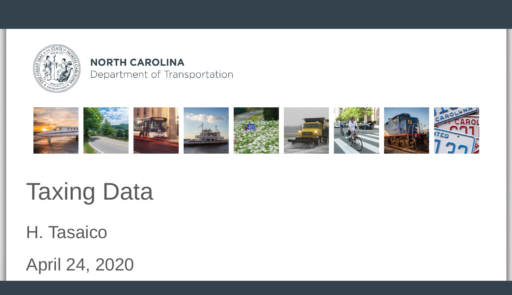

#### **NORTH CAROLINA** Department of Transportation



# **Taxing Data**

H. Tasaico

April 24, 2020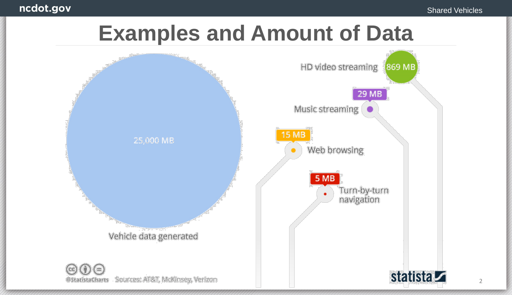

@StatistaCharts Sources: AT&T, McKinsey, Verizon



2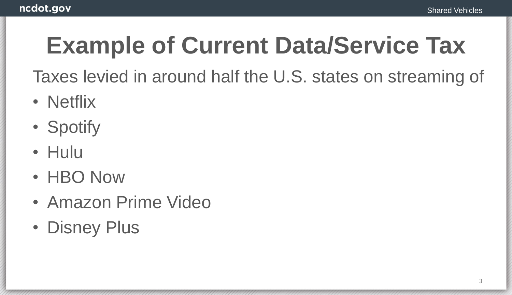# **Example of Current Data/Service Tax**

Taxes levied in around half the U.S. states on streaming of

- Netflix
- Spotify
- Hulu
- HBO Now
- Amazon Prime Video
- Disney Plus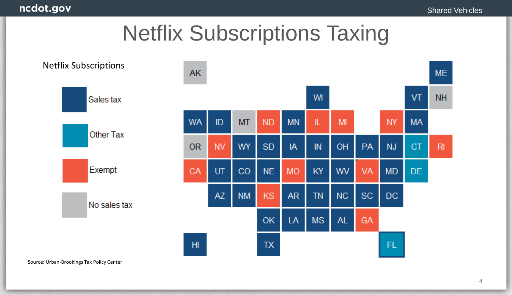## Netflix Subscriptions Taxing



Source: Urban-Brookings Tax Policy Center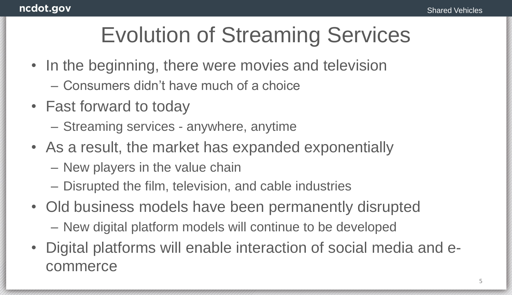## Evolution of Streaming Services

- In the beginning, there were movies and television
	- Consumers didn't have much of a choice
- Fast forward to today
	- Streaming services anywhere, anytime
- As a result, the market has expanded exponentially
	- New players in the value chain
	- Disrupted the film, television, and cable industries
- Old business models have been permanently disrupted
	- New digital platform models will continue to be developed
- Digital platforms will enable interaction of social media and ecommerce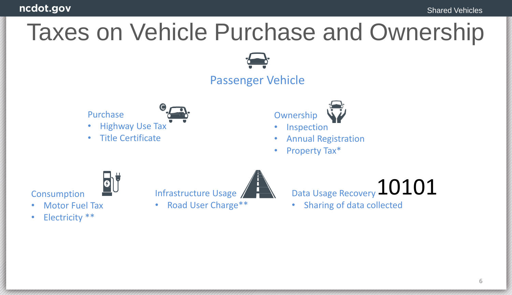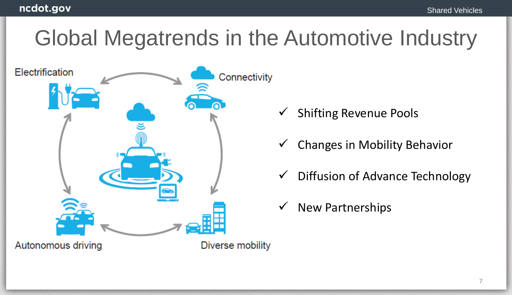## Global Megatrends in the Automotive Industry



- ✓ Shifting Revenue Pools
- $\checkmark$  Changes in Mobility Behavior
- $\checkmark$  Diffusion of Advance Technology
- **New Partnerships**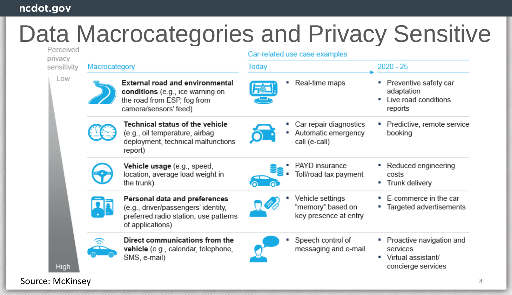#### ncdot.gov

# Data Macrocategories and Privacy Sensitive

| Perceived<br>privacy | Car-related use case examples                                                                                                      |                                                                |                                                                                       |
|----------------------|------------------------------------------------------------------------------------------------------------------------------------|----------------------------------------------------------------|---------------------------------------------------------------------------------------|
| sensitivity          | Macrocategory                                                                                                                      | Today                                                          | $2020 - 25$                                                                           |
| Low<br>High          | <b>External road and environmental</b><br>conditions (e.g., ice warning on<br>the road from ESP, fog from<br>camera/sensors' feed) | Real-time maps<br>$\overline{\mathsf{F}}$ ,                    | Preventive safety car<br>adaptation<br>Live road conditions<br>reports                |
|                      | Technical status of the vehicle<br>(e.g., oil temperature, airbag<br>deployment, technical malfunctions<br>report)                 | Car repair diagnostics<br>Automatic emergency<br>call (e-call) | Predictive, remote service<br>booking                                                 |
|                      | Vehicle usage (e.g., speed,<br>location, average load weight in<br>the trunk)                                                      | PAYD insurance<br>Toll/road tax payment                        | Reduced engineering<br>costs<br>Trunk delivery<br>п                                   |
|                      | Personal data and preferences<br>(e.g., driver/passengers' identity,<br>preferred radio station, use patterns<br>of applications)  | Vehicle settings<br>"memory" based on<br>key presence at entry | E-commerce in the car<br>п<br>Targeted advertisements                                 |
|                      | Direct communications from the<br>vehicle (e.g., calendar, telephone,<br>SMS, e-mail)                                              | Speech control of<br>messaging and e-mail                      | Proactive navigation and<br>services<br>Virtual assistant/<br>п<br>concierge services |

Source: McKinsey 800 and 200 and 200 and 200 and 200 and 200 and 200 and 200 and 200 and 200 and 200 and 200 and 200 and 200 and 200 and 200 and 200 and 200 and 200 and 200 and 200 and 200 and 200 and 200 and 200 and 200 a